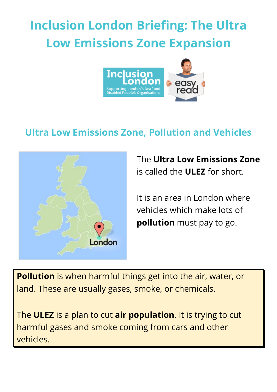# **Inclusion London Briefing: The Ultra Low Emissions Zone Expansion**



## **Ultra Low Emissions Zone, Pollution and Vehicles**



The **Ultra Low Emissions Zone** is called the **ULEZ** for short.

It is an area in London where vehicles which make lots of **pollution** must pay to go.

**Pollution** is when harmful things get into the air, water, or land. These are usually gases, smoke, or chemicals.

The **ULEZ** is a plan to cut **air population**. It is trying to cut harmful gases and smoke coming from cars and other vehicles.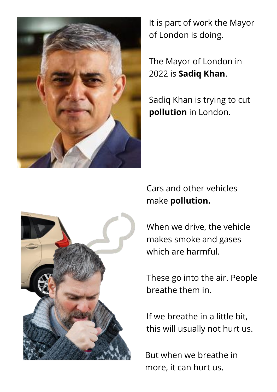

It is part of work the Mayor of London is doing.

The Mayor of London in 2022 is **Sadiq Khan**.

Sadiq Khan is trying to cut **pollution** in London.

Cars and other vehicles make **pollution.**

When we drive, the vehicle makes smoke and gases which are harmful.

These go into the air. People breathe them in.

If we breathe in a little bit, this will usually not hurt us.

But when we breathe in more, it can hurt us.

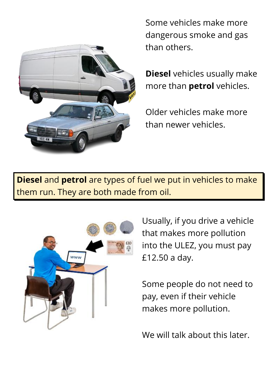

Some vehicles make more dangerous smoke and gas than others.

**Diesel** vehicles usually make more than **petrol** vehicles.

Older vehicles make more than newer vehicles.

**Diesel** and **petrol** are types of fuel we put in vehicles to make them run. They are both made from oil.



Usually, if you drive a vehicle that makes more pollution into the ULEZ, you must pay £12.50 a day.

Some people do not need to pay, even if their vehicle makes more pollution.

We will talk about this later.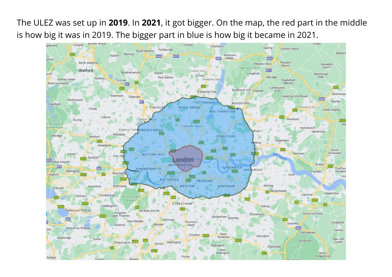The ULEZ was set up in **2019**. In **2021**, it got bigger. On the map, the red part in the middle is how big it was in 2019. The bigger part in blue is how big it became in 2021.

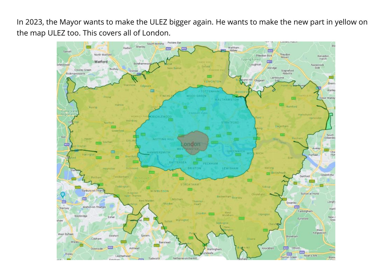In 2023, the Mayor wants to make the ULEZ bigger again. He wants to make the new part in yellow on the map ULEZ too. This covers all of London.

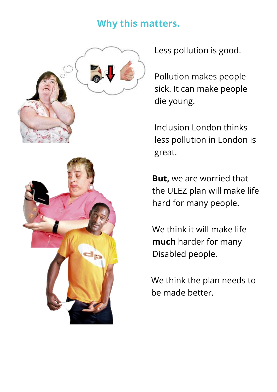### **Why this matters.**



Less pollution is good.

Pollution makes people sick. It can make people die young.

Inclusion London thinks less pollution in London is great.

**But,** we are worried that the ULEZ plan will make life hard for many people.

We think it will make life **much** harder for many Disabled people.

We think the plan needs to be made better.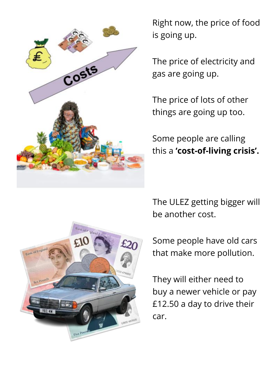

Right now, the price of food is going up.

The price of electricity and gas are going up.

The price of lots of other things are going up too.

Some people are calling this a **'cost-of-living crisis'.** 

The ULEZ getting bigger will be another cost.

Some people have old cars that make more pollution.

They will either need to buy a newer vehicle or pay £12.50 a day to drive their car.

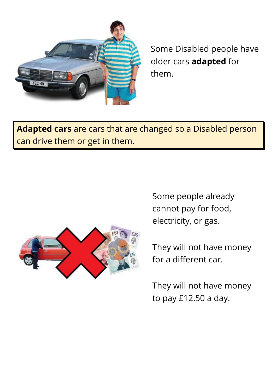

Some Disabled people have older cars **adapted** for them.

**Adapted cars** are cars that are changed so a Disabled person can drive them or get in them.



Some people already cannot pay for food, electricity, or gas.

They will not have money for a different car.

They will not have money to pay £12.50 a day.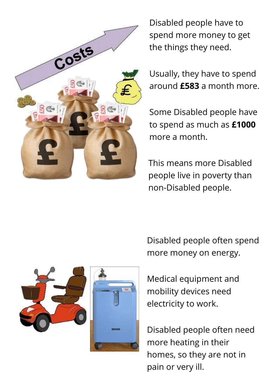

Disabled people have to spend more money to get the things they need.

Usually, they have to spend around **£583** a month more.

Some Disabled people have to spend as much as **£1000** more a month.

This means more Disabled people live in poverty than non-Disabled people.

Disabled people often spend more money on energy.

Medical equipment and mobility devices need electricity to work.

Disabled people often need more heating in their homes, so they are not in pain or very ill.

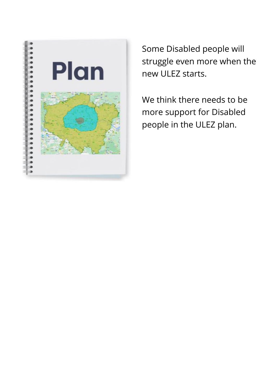

Some Disabled people will struggle even more when the new ULEZ starts.

We think there needs to be more support for Disabled people in the ULEZ plan.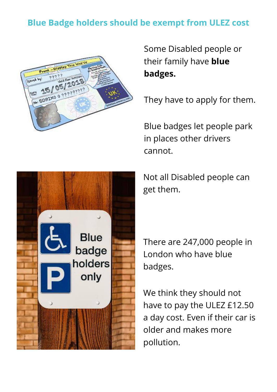#### **Blue Badge holders should be exempt from ULEZ cost**



Some Disabled people or their family have **blue badges.**

They have to apply for them.

Blue badges let people park in places other drivers cannot.

Not all Disabled people can get them.

There are 247,000 people in London who have blue badges.

We think they should not have to pay the ULEZ £12.50 a day cost. Even if their car is older and makes more pollution.

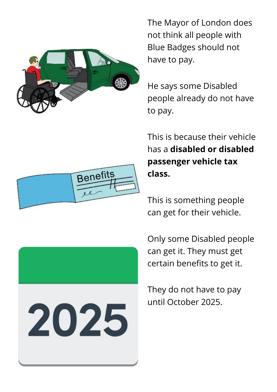





The Mayor of London does not think all people with Blue Badges should not have to pay.

He says some Disabled people already do not have to pay.

This is because their vehicle has a **disabled or disabled passenger vehicle tax class.** 

This is something people can get for their vehicle.

Only some Disabled people can get it. They must get certain benefits to get it.

They do not have to pay until October 2025.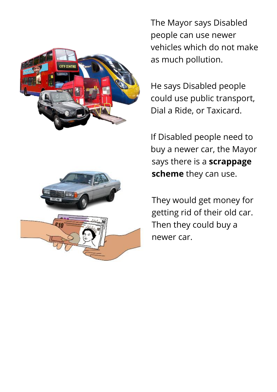



The Mayor says Disabled people can use newer vehicles which do not make as much pollution.

He says Disabled people could use public transport, Dial a Ride, or Taxicard.

If Disabled people need to buy a newer car, the Mayor says there is a **scrappage scheme** they can use.

They would get money for getting rid of their old car. Then they could buy a newer car.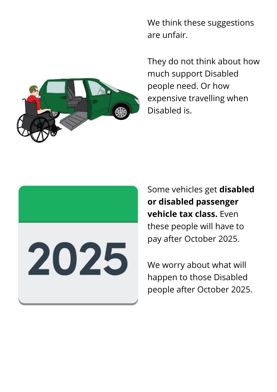We think these suggestions are unfair.

They do not think about how much support Disabled people need. Or how expensive travelling when Disabled is.



Some vehicles get **disabled or disabled passenger vehicle tax class.** Even these people will have to pay after October 2025.

We worry about what will happen to those Disabled people after October 2025.

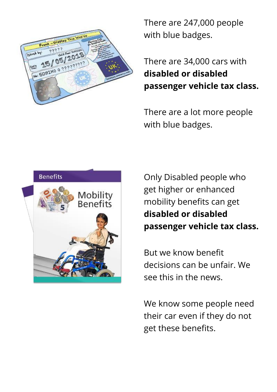

There are 247,000 people with blue badges.

There are 34,000 cars with **disabled or disabled passenger vehicle tax class.**

There are a lot more people with blue badges.



Only Disabled people who get higher or enhanced mobility benefits can get **disabled or disabled passenger vehicle tax class.** 

But we know benefit decisions can be unfair. We see this in the news.

We know some people need their car even if they do not get these benefits.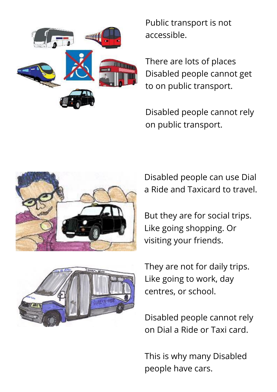

Public transport is not accessible.

There are lots of places Disabled people cannot get to on public transport.

Disabled people cannot rely on public transport.



Disabled people can use Dial a Ride and Taxicard to travel.

But they are for social trips. Like going shopping. Or visiting your friends.



They are not for daily trips. Like going to work, day centres, or school.

Disabled people cannot rely on Dial a Ride or Taxi card.

This is why many Disabled people have cars.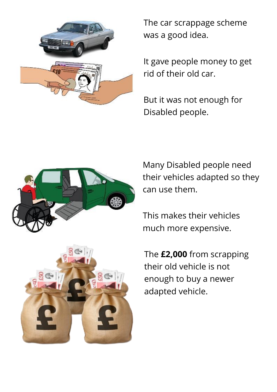

The car scrappage scheme was a good idea.

It gave people money to get rid of their old car.

But it was not enough for Disabled people.



Many Disabled people need their vehicles adapted so they can use them.

This makes their vehicles much more expensive.

The **£2,000** from scrapping their old vehicle is not enough to buy a newer adapted vehicle.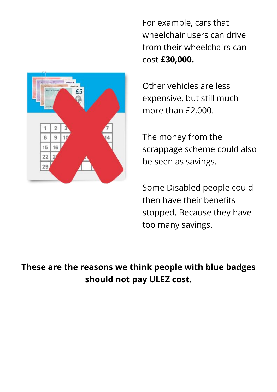For example, cars that wheelchair users can drive from their wheelchairs can cost **£30,000.** 



Other vehicles are less expensive, but still much more than £2,000.

The money from the scrappage scheme could also be seen as savings.

Some Disabled people could then have their benefits stopped. Because they have too many savings.

**These are the reasons we think people with blue badges should not pay ULEZ cost.**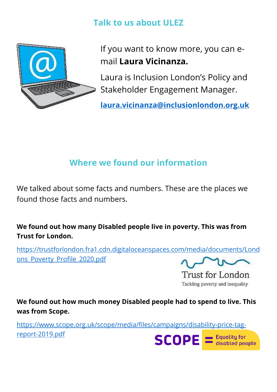#### **Talk to us about ULEZ**



If you want to know more, you can email **Laura Vicinanza.**

Laura is Inclusion London's Policy and Stakeholder Engagement Manager.

**[laura.vicinanza@inclusionlondon.org.uk](mailto:laura.vicinanza@inclusionlondon.org.uk)**

### **Where we found our information**

We talked about some facts and numbers. These are the places we found those facts and numbers.

**We found out how many Disabled people live in poverty. This was from Trust for London.** 

[https://trustforlondon.fra1.cdn.digitaloceanspaces.com/media/documents/Lond](https://trustforlondon.fra1.cdn.digitaloceanspaces.com/media/documents/Londons_Poverty_Profile_2020.pdf) [ons\\_Poverty\\_Profile\\_2020.pdf](https://trustforlondon.fra1.cdn.digitaloceanspaces.com/media/documents/Londons_Poverty_Profile_2020.pdf)

Trust for London Tackling poverty and inequality

**We found out how much money Disabled people had to spend to live. This was from Scope.**

[https://www.scope.org.uk/scope/media/files/campaigns/disability-price-tag](https://www.scope.org.uk/scope/media/files/campaigns/disability-price-tag-report-2019.pdf)[report-2019.pdf](https://www.scope.org.uk/scope/media/files/campaigns/disability-price-tag-report-2019.pdf)

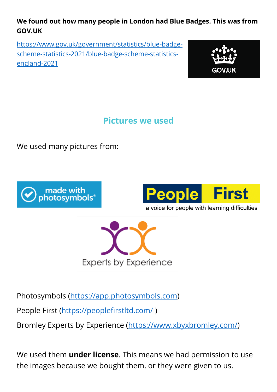#### **We found out how many people in London had Blue Badges. This was from GOV.UK**

[https://www.gov.uk/government/statistics/blue-badge](https://www.gov.uk/government/statistics/blue-badge-scheme-statistics-2021/blue-badge-scheme-statistics-england-2021)[scheme-statistics-2021/blue-badge-scheme-statistics](https://www.gov.uk/government/statistics/blue-badge-scheme-statistics-2021/blue-badge-scheme-statistics-england-2021)[england-2021](https://www.gov.uk/government/statistics/blue-badge-scheme-statistics-2021/blue-badge-scheme-statistics-england-2021) 



**Pictures we used**

We used many pictures from:





a voice for people with learning difficulties



Photosymbols [\(https://app.photosymbols.com\)](https://app.photosymbols.com/)

People First [\(https://peoplefirstltd.com/](https://peoplefirstltd.com/))

Bromley Experts by Experience [\(https://www.xbyxbromley.com/\)](https://www.xbyxbromley.com/)

We used them **under license**. This means we had permission to use the images because we bought them, or they were given to us.